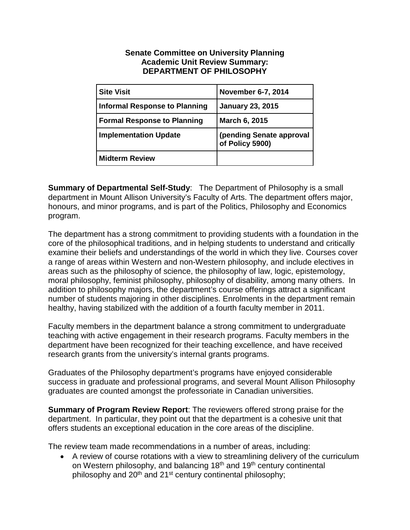## **Senate Committee on University Planning Academic Unit Review Summary: DEPARTMENT OF PHILOSOPHY**

| <b>Site Visit</b>                    | November 6-7, 2014                          |
|--------------------------------------|---------------------------------------------|
| <b>Informal Response to Planning</b> | <b>January 23, 2015</b>                     |
| <b>Formal Response to Planning</b>   | March 6, 2015                               |
| <b>Implementation Update</b>         | (pending Senate approval<br>of Policy 5900) |
| <b>Midterm Review</b>                |                                             |

**Summary of Departmental Self-Study**: The Department of Philosophy is a small department in Mount Allison University's Faculty of Arts. The department offers major, honours, and minor programs, and is part of the Politics, Philosophy and Economics program.

The department has a strong commitment to providing students with a foundation in the core of the philosophical traditions, and in helping students to understand and critically examine their beliefs and understandings of the world in which they live. Courses cover a range of areas within Western and non-Western philosophy, and include electives in areas such as the philosophy of science, the philosophy of law, logic, epistemology, moral philosophy, feminist philosophy, philosophy of disability, among many others. In addition to philosophy majors, the department's course offerings attract a significant number of students majoring in other disciplines. Enrolments in the department remain healthy, having stabilized with the addition of a fourth faculty member in 2011.

Faculty members in the department balance a strong commitment to undergraduate teaching with active engagement in their research programs. Faculty members in the department have been recognized for their teaching excellence, and have received research grants from the university's internal grants programs.

Graduates of the Philosophy department's programs have enjoyed considerable success in graduate and professional programs, and several Mount Allison Philosophy graduates are counted amongst the professoriate in Canadian universities.

**Summary of Program Review Report**: The reviewers offered strong praise for the department. In particular, they point out that the department is a cohesive unit that offers students an exceptional education in the core areas of the discipline.

The review team made recommendations in a number of areas, including:

• A review of course rotations with a view to streamlining delivery of the curriculum on Western philosophy, and balancing 18<sup>th</sup> and 19<sup>th</sup> century continental philosophy and  $20<sup>th</sup>$  and  $21<sup>st</sup>$  century continental philosophy;